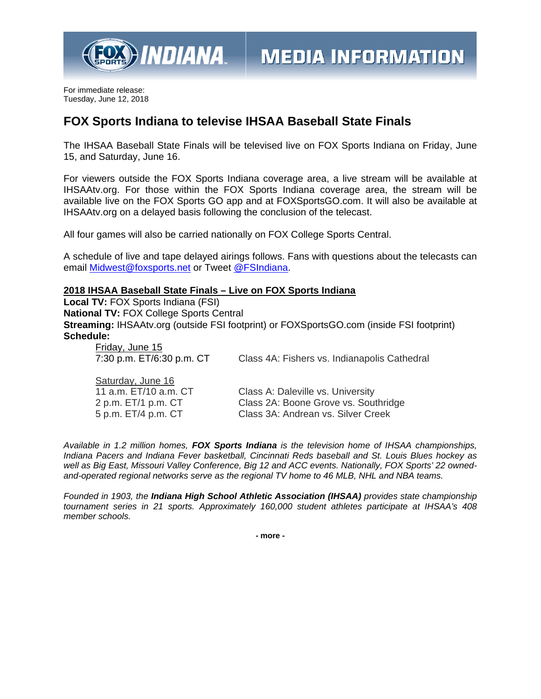

For immediate release: Tuesday, June 12, 2018

## **FOX Sports Indiana to televise IHSAA Baseball State Finals**

The IHSAA Baseball State Finals will be televised live on FOX Sports Indiana on Friday, June 15, and Saturday, June 16.

For viewers outside the FOX Sports Indiana coverage area, a live stream will be available at IHSAAtv.org. For those within the FOX Sports Indiana coverage area, the stream will be available live on the FOX Sports GO app and at FOXSportsGO.com. It will also be available at IHSAAtv.org on a delayed basis following the conclusion of the telecast.

All four games will also be carried nationally on FOX College Sports Central.

A schedule of live and tape delayed airings follows. Fans with questions about the telecasts can email Midwest@foxsports.net or Tweet @FSIndiana.

## **2018 IHSAA Baseball State Finals – Live on FOX Sports Indiana**

**Local TV:** FOX Sports Indiana (FSI) **National TV:** FOX College Sports Central **Streaming:** IHSAAtv.org (outside FSI footprint) or FOXSportsGO.com (inside FSI footprint) **Schedule:** 

Friday, June 15

7:30 p.m. ET/6:30 p.m. CT Class 4A: Fishers vs. Indianapolis Cathedral

Saturday, June 16

11 a.m. ET/10 a.m. CT Class A: Daleville vs. University 2 p.m. ET/1 p.m. CT Class 2A: Boone Grove vs. Southridge 5 p.m. ET/4 p.m. CT Class 3A: Andrean vs. Silver Creek

*Available in 1.2 million homes, FOX Sports Indiana is the television home of IHSAA championships, Indiana Pacers and Indiana Fever basketball, Cincinnati Reds baseball and St. Louis Blues hockey as well as Big East, Missouri Valley Conference, Big 12 and ACC events. Nationally, FOX Sports' 22 ownedand-operated regional networks serve as the regional TV home to 46 MLB, NHL and NBA teams.* 

*Founded in 1903, the Indiana High School Athletic Association (IHSAA) provides state championship tournament series in 21 sports. Approximately 160,000 student athletes participate at IHSAA's 408 member schools.* 

**- more -**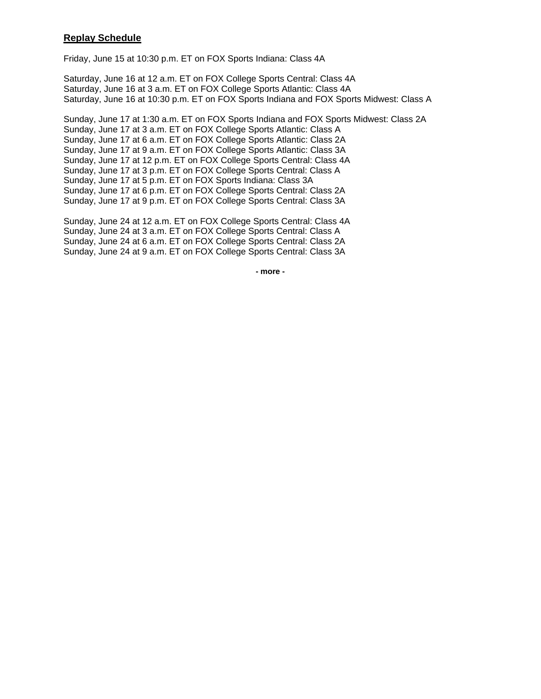## **Replay Schedule**

Friday, June 15 at 10:30 p.m. ET on FOX Sports Indiana: Class 4A

Saturday, June 16 at 12 a.m. ET on FOX College Sports Central: Class 4A Saturday, June 16 at 3 a.m. ET on FOX College Sports Atlantic: Class 4A Saturday, June 16 at 10:30 p.m. ET on FOX Sports Indiana and FOX Sports Midwest: Class A

Sunday, June 17 at 1:30 a.m. ET on FOX Sports Indiana and FOX Sports Midwest: Class 2A Sunday, June 17 at 3 a.m. ET on FOX College Sports Atlantic: Class A Sunday, June 17 at 6 a.m. ET on FOX College Sports Atlantic: Class 2A Sunday, June 17 at 9 a.m. ET on FOX College Sports Atlantic: Class 3A Sunday, June 17 at 12 p.m. ET on FOX College Sports Central: Class 4A Sunday, June 17 at 3 p.m. ET on FOX College Sports Central: Class A Sunday, June 17 at 5 p.m. ET on FOX Sports Indiana: Class 3A Sunday, June 17 at 6 p.m. ET on FOX College Sports Central: Class 2A Sunday, June 17 at 9 p.m. ET on FOX College Sports Central: Class 3A

Sunday, June 24 at 12 a.m. ET on FOX College Sports Central: Class 4A Sunday, June 24 at 3 a.m. ET on FOX College Sports Central: Class A Sunday, June 24 at 6 a.m. ET on FOX College Sports Central: Class 2A Sunday, June 24 at 9 a.m. ET on FOX College Sports Central: Class 3A

**- more -**